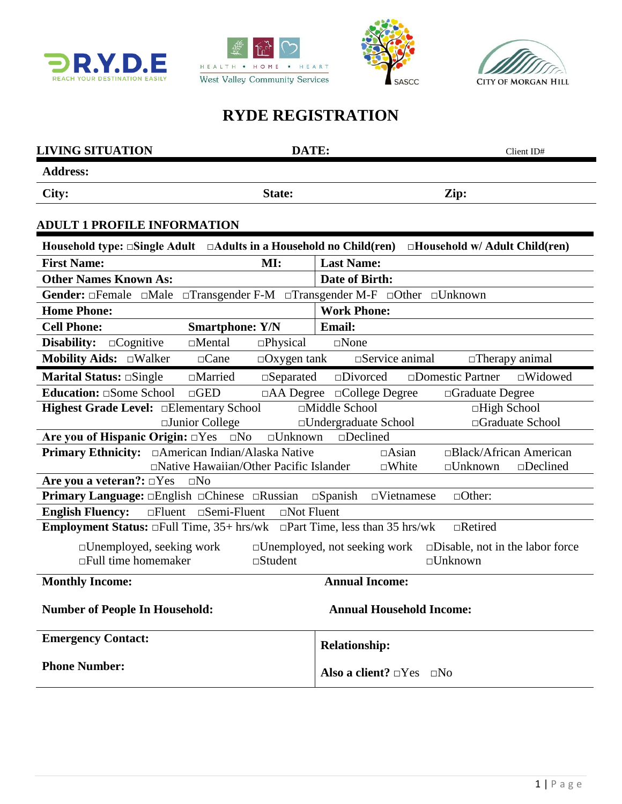







# **RYDE REGISTRATION**

| <b>LIVING SITUATION</b>                                                                      | DATE:                                                                                               | Client ID#                                                                                            |  |  |
|----------------------------------------------------------------------------------------------|-----------------------------------------------------------------------------------------------------|-------------------------------------------------------------------------------------------------------|--|--|
| <b>Address:</b>                                                                              |                                                                                                     |                                                                                                       |  |  |
| City:                                                                                        | State:                                                                                              | Zip:                                                                                                  |  |  |
| <b>ADULT 1 PROFILE INFORMATION</b>                                                           |                                                                                                     |                                                                                                       |  |  |
| Household type: $\Box$ Single Adult $\Box$ Adults in a Household no Child(ren)               |                                                                                                     | $\Box$ Household w/ Adult Child(ren)                                                                  |  |  |
| <b>First Name:</b>                                                                           | MI:<br><b>Last Name:</b>                                                                            |                                                                                                       |  |  |
| <b>Other Names Known As:</b>                                                                 |                                                                                                     | Date of Birth:                                                                                        |  |  |
|                                                                                              |                                                                                                     | Gender: □Female □Male □Transgender F-M □Transgender M-F □Other □Unknown                               |  |  |
| <b>Home Phone:</b>                                                                           |                                                                                                     | <b>Work Phone:</b>                                                                                    |  |  |
| <b>Cell Phone:</b>                                                                           | <b>Smartphone: Y/N</b>                                                                              | <b>Email:</b>                                                                                         |  |  |
| Disability:<br>$\Box$ Cognitive                                                              | $\Box$ Mental<br>$\square$ Physical                                                                 | $\square$ None                                                                                        |  |  |
| Mobility Aids: DWalker                                                                       | $\Box$ Cane<br>$\Box$ Oxygen tank                                                                   | $\square$ Service animal<br>$\Box$ Therapy animal                                                     |  |  |
| <b>Marital Status:</b> $\Box$ Single                                                         | $\Box$ Married<br>$\square$ Separated                                                               | $\square$ Divorced<br>□Domestic Partner<br>$\square$ Widowed                                          |  |  |
| <b>Education:</b> $\Box$ Some School                                                         | $\Box$ GED                                                                                          | $\Box$ AA Degree $\Box$ College Degree<br>$\Box$ Graduate Degree                                      |  |  |
| Highest Grade Level: <b>Elementary School</b>                                                |                                                                                                     | □Middle School<br>□High School                                                                        |  |  |
|                                                                                              | $\Box$ Junior College                                                                               | □Undergraduate School<br>□Graduate School                                                             |  |  |
| Are you of Hispanic Origin: $\Box$ Yes $\Box$ No                                             | $\square$ Unknown                                                                                   | $\square$ Declined                                                                                    |  |  |
|                                                                                              | $\Box$ Asian<br><b>Primary Ethnicity:</b> □American Indian/Alaska Native<br>□Black/African American |                                                                                                       |  |  |
|                                                                                              | □Native Hawaiian/Other Pacific Islander                                                             | $\square$ White<br>$\square$ Unknown<br>$\square$ Declined                                            |  |  |
| Are you a veteran?: $\Box$ Yes                                                               | $\square$ No                                                                                        |                                                                                                       |  |  |
| Primary Language: <b>English Chinese</b> CRussian<br><b>English Fluency:</b>                 | $\Box$ Fluent $\Box$ Semi-Fluent<br>$\Box$ Not Fluent                                               | $\square$ Spanish<br>$\neg$ Vietnamese<br>$\Box$ Other:                                               |  |  |
| <b>Employment Status:</b> $\Box$ Full Time, 35+ hrs/wk $\Box$ Part Time, less than 35 hrs/wk |                                                                                                     | $\Box$ Retired                                                                                        |  |  |
|                                                                                              |                                                                                                     |                                                                                                       |  |  |
| □Unemployed, seeking work<br>$\Box$ Full time homemaker                                      | $\square$ Student                                                                                   | $\square$ Disable, not in the labor force<br>$\Box$ Unemployed, not seeking work<br>$\square$ Unknown |  |  |
| <b>Monthly Income:</b>                                                                       |                                                                                                     | <b>Annual Income:</b>                                                                                 |  |  |
| <b>Annual Household Income:</b><br><b>Number of People In Household:</b>                     |                                                                                                     |                                                                                                       |  |  |
| <b>Emergency Contact:</b>                                                                    |                                                                                                     | <b>Relationship:</b>                                                                                  |  |  |
| <b>Phone Number:</b>                                                                         |                                                                                                     | Also a client? $\Box$ Yes $\Box$ No                                                                   |  |  |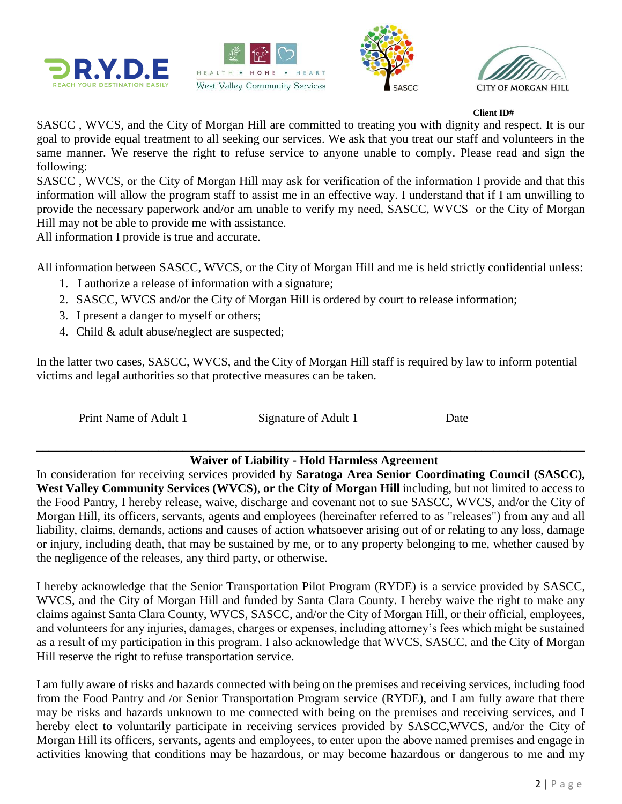







#### **Client ID#**

SASCC , WVCS, and the City of Morgan Hill are committed to treating you with dignity and respect. It is our goal to provide equal treatment to all seeking our services. We ask that you treat our staff and volunteers in the same manner. We reserve the right to refuse service to anyone unable to comply. Please read and sign the following:

SASCC , WVCS, or the City of Morgan Hill may ask for verification of the information I provide and that this information will allow the program staff to assist me in an effective way. I understand that if I am unwilling to provide the necessary paperwork and/or am unable to verify my need, SASCC, WVCS or the City of Morgan Hill may not be able to provide me with assistance.

All information I provide is true and accurate.

All information between SASCC, WVCS, or the City of Morgan Hill and me is held strictly confidential unless:

- 1. I authorize a release of information with a signature;
- 2. SASCC, WVCS and/or the City of Morgan Hill is ordered by court to release information;
- 3. I present a danger to myself or others;
- 4. Child & adult abuse/neglect are suspected;

In the latter two cases, SASCC, WVCS, and the City of Morgan Hill staff is required by law to inform potential victims and legal authorities so that protective measures can be taken.

Print Name of Adult 1 Signature of Adult 1 Date

#### $\mathcal{L}_\mathcal{L} = \mathcal{L}_\mathcal{L} = \mathcal{L}_\mathcal{L} = \mathcal{L}_\mathcal{L} = \mathcal{L}_\mathcal{L} = \mathcal{L}_\mathcal{L} = \mathcal{L}_\mathcal{L} = \mathcal{L}_\mathcal{L} = \mathcal{L}_\mathcal{L} = \mathcal{L}_\mathcal{L} = \mathcal{L}_\mathcal{L} = \mathcal{L}_\mathcal{L} = \mathcal{L}_\mathcal{L} = \mathcal{L}_\mathcal{L} = \mathcal{L}_\mathcal{L} = \mathcal{L}_\mathcal{L} = \mathcal{L}_\mathcal{L}$  **Waiver of Liability - Hold Harmless Agreement**

In consideration for receiving services provided by **Saratoga Area Senior Coordinating Council (SASCC), West Valley Community Services (WVCS)**, **or the City of Morgan Hill** including, but not limited to access to the Food Pantry, I hereby release, waive, discharge and covenant not to sue SASCC, WVCS, and/or the City of Morgan Hill, its officers, servants, agents and employees (hereinafter referred to as "releases") from any and all liability, claims, demands, actions and causes of action whatsoever arising out of or relating to any loss, damage or injury, including death, that may be sustained by me, or to any property belonging to me, whether caused by the negligence of the releases, any third party, or otherwise.

I hereby acknowledge that the Senior Transportation Pilot Program (RYDE) is a service provided by SASCC, WVCS, and the City of Morgan Hill and funded by Santa Clara County. I hereby waive the right to make any claims against Santa Clara County, WVCS, SASCC, and/or the City of Morgan Hill, or their official, employees, and volunteers for any injuries, damages, charges or expenses, including attorney's fees which might be sustained as a result of my participation in this program. I also acknowledge that WVCS, SASCC, and the City of Morgan Hill reserve the right to refuse transportation service.

I am fully aware of risks and hazards connected with being on the premises and receiving services, including food from the Food Pantry and /or Senior Transportation Program service (RYDE), and I am fully aware that there may be risks and hazards unknown to me connected with being on the premises and receiving services, and I hereby elect to voluntarily participate in receiving services provided by SASCC,WVCS, and/or the City of Morgan Hill its officers, servants, agents and employees, to enter upon the above named premises and engage in activities knowing that conditions may be hazardous, or may become hazardous or dangerous to me and my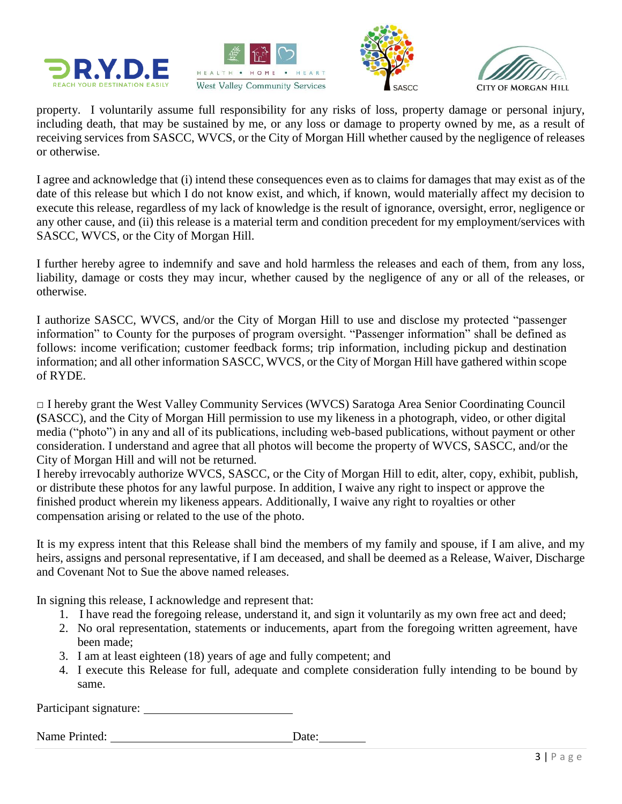







property. I voluntarily assume full responsibility for any risks of loss, property damage or personal injury, including death, that may be sustained by me, or any loss or damage to property owned by me, as a result of receiving services from SASCC, WVCS, or the City of Morgan Hill whether caused by the negligence of releases or otherwise.

I agree and acknowledge that (i) intend these consequences even as to claims for damages that may exist as of the date of this release but which I do not know exist, and which, if known, would materially affect my decision to execute this release, regardless of my lack of knowledge is the result of ignorance, oversight, error, negligence or any other cause, and (ii) this release is a material term and condition precedent for my employment/services with SASCC, WVCS, or the City of Morgan Hill.

I further hereby agree to indemnify and save and hold harmless the releases and each of them, from any loss, liability, damage or costs they may incur, whether caused by the negligence of any or all of the releases, or otherwise.

I authorize SASCC, WVCS, and/or the City of Morgan Hill to use and disclose my protected "passenger information" to County for the purposes of program oversight. "Passenger information" shall be defined as follows: income verification; customer feedback forms; trip information, including pickup and destination information; and all other information SASCC, WVCS, or the City of Morgan Hill have gathered within scope of RYDE.

□ I hereby grant the West Valley Community Services (WVCS) Saratoga Area Senior Coordinating Council **(**SASCC), and the City of Morgan Hill permission to use my likeness in a photograph, video, or other digital media ("photo") in any and all of its publications, including web-based publications, without payment or other consideration. I understand and agree that all photos will become the property of WVCS, SASCC, and/or the City of Morgan Hill and will not be returned.

I hereby irrevocably authorize WVCS, SASCC, or the City of Morgan Hill to edit, alter, copy, exhibit, publish, or distribute these photos for any lawful purpose. In addition, I waive any right to inspect or approve the finished product wherein my likeness appears. Additionally, I waive any right to royalties or other compensation arising or related to the use of the photo.

It is my express intent that this Release shall bind the members of my family and spouse, if I am alive, and my heirs, assigns and personal representative, if I am deceased, and shall be deemed as a Release, Waiver, Discharge and Covenant Not to Sue the above named releases.

In signing this release, I acknowledge and represent that:

- 1. I have read the foregoing release, understand it, and sign it voluntarily as my own free act and deed;
- 2. No oral representation, statements or inducements, apart from the foregoing written agreement, have been made;
- 3. I am at least eighteen (18) years of age and fully competent; and
- 4. I execute this Release for full, adequate and complete consideration fully intending to be bound by same.

Participant signature:

Name Printed: Date: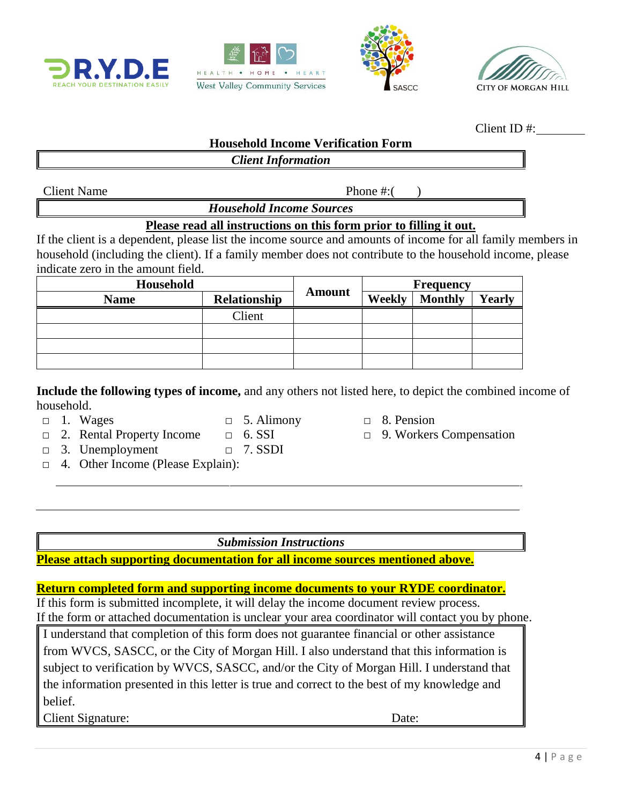







Client ID #:

#### **Household Income Verification Form**

### *Client Information*

Client Name Phone #:

*Household Income Sources*

#### **Please read all instructions on this form prior to filling it out.**

If the client is a dependent, please list the income source and amounts of income for all family members in household (including the client). If a family member does not contribute to the household income, please indicate zero in the amount field.

| Household   |                     | <b>Frequency</b> |        |                |        |
|-------------|---------------------|------------------|--------|----------------|--------|
| <b>Name</b> | <b>Relationship</b> | <b>Amount</b>    | Weekly | <b>Monthly</b> | Yearly |
|             | Client              |                  |        |                |        |
|             |                     |                  |        |                |        |
|             |                     |                  |        |                |        |
|             |                     |                  |        |                |        |

**Include the following types of income,** and any others not listed here, to depict the combined income of household.

- 
- $\Box$  1. Wages  $\Box$  5. Alimony  $\Box$  8. Pension
- □ 2. Rental Property Income □ 6. SSI □ 9. Workers Compensation
- -
- □ 3. Unemployment □ 7. SSDI
- □ 4. Other Income (Please Explain):
	-

*Submission Instructions*

### **Please attach supporting documentation for all income sources mentioned above.**

### **Return completed form and supporting income documents to your RYDE coordinator.**

If this form is submitted incomplete, it will delay the income document review process. If the form or attached documentation is unclear your area coordinator will contact you by phone.

I understand that completion of this form does not guarantee financial or other assistance from WVCS, SASCC, or the City of Morgan Hill. I also understand that this information is subject to verification by WVCS, SASCC, and/or the City of Morgan Hill. I understand that the information presented in this letter is true and correct to the best of my knowledge and belief.

Client Signature: Date: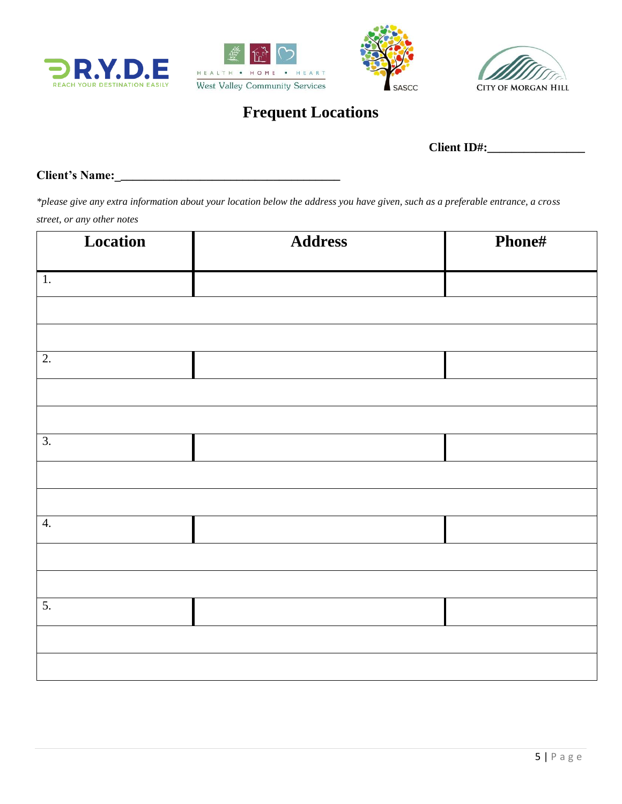







# **Frequent Locations**

**Client ID#:\_\_\_\_\_\_\_\_\_\_\_\_\_\_\_\_**

**Client's Name:\_\_\_\_\_\_\_\_\_\_\_\_\_\_\_\_\_\_\_\_\_\_\_\_\_\_\_\_\_\_\_\_\_\_\_\_\_** 

*\*please give any extra information about your location below the address you have given, such as a preferable entrance, a cross street, or any other notes* 

| Location         | <b>Address</b> | Phone# |
|------------------|----------------|--------|
| 1.               |                |        |
|                  |                |        |
|                  |                |        |
| $\overline{2}$ . |                |        |
|                  |                |        |
|                  |                |        |
| $\overline{3}$ . |                |        |
|                  |                |        |
|                  |                |        |
| 4.               |                |        |
|                  |                |        |
|                  |                |        |
| 5.               |                |        |
|                  |                |        |
|                  |                |        |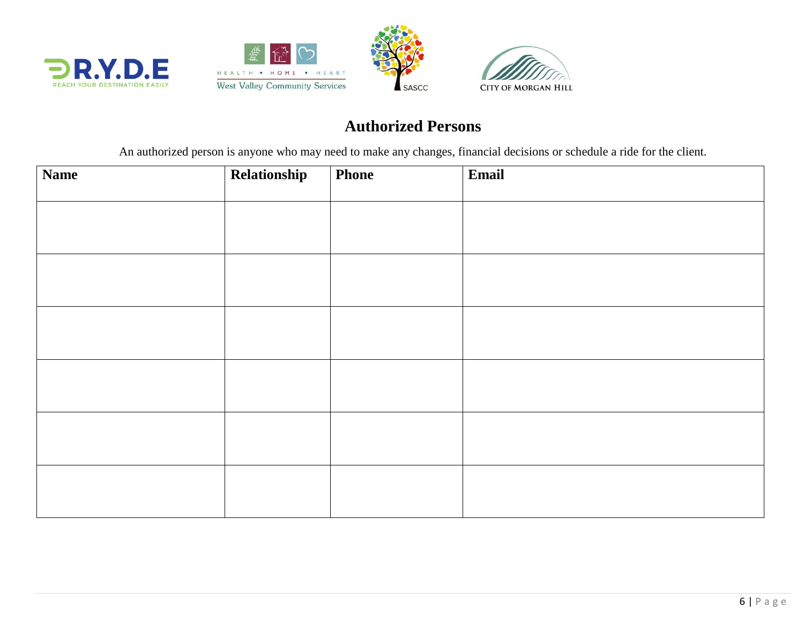





# **Authorized Persons**

An authorized person is anyone who may need to make any changes, financial decisions or schedule a ride for the client.

| <b>Name</b> | Relationship | Phone | Email |
|-------------|--------------|-------|-------|
|             |              |       |       |
|             |              |       |       |
|             |              |       |       |
|             |              |       |       |
|             |              |       |       |
|             |              |       |       |
|             |              |       |       |
|             |              |       |       |
|             |              |       |       |
|             |              |       |       |
|             |              |       |       |
|             |              |       |       |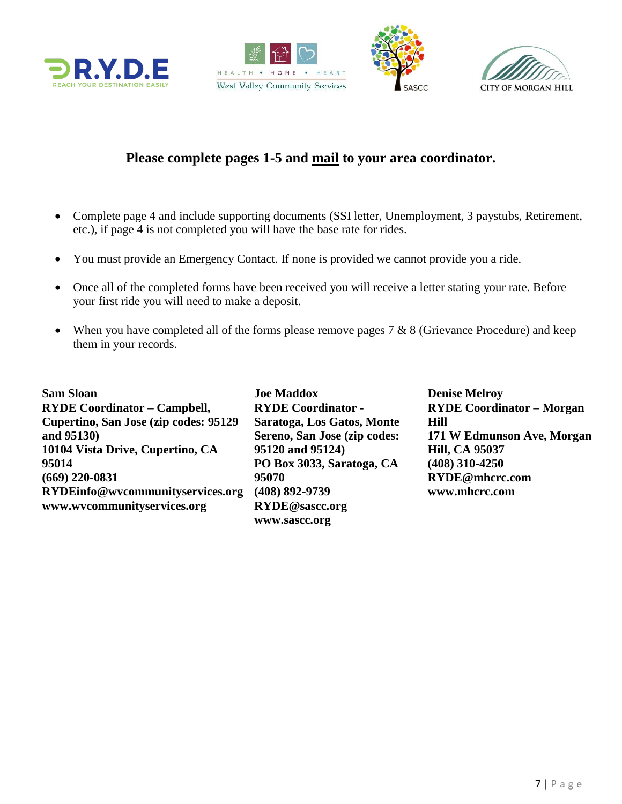







## **Please complete pages 1-5 and mail to your area coordinator.**

- Complete page 4 and include supporting documents (SSI letter, Unemployment, 3 paystubs, Retirement, etc.), if page 4 is not completed you will have the base rate for rides.
- You must provide an Emergency Contact. If none is provided we cannot provide you a ride.
- Once all of the completed forms have been received you will receive a letter stating your rate. Before your first ride you will need to make a deposit.
- When you have completed all of the forms please remove pages  $7 \& 8$  (Grievance Procedure) and keep them in your records.

**Sam Sloan RYDE Coordinator – Campbell, Cupertino, San Jose (zip codes: 95129 and 95130) 10104 Vista Drive, Cupertino, CA 95014 (669) 220-0831 RYDEinfo@wvcommunityservices.org www.wvcommunityservices.org**

**Joe Maddox RYDE Coordinator - Saratoga, Los Gatos, Monte Sereno, San Jose (zip codes: 95120 and 95124) PO Box 3033, [Saratoga, CA](https://maps.google.com/?q=19655+Allendale+Ave+Saratoga,+CA+95070&entry=gmail&source=g)  [95070](https://maps.google.com/?q=19655+Allendale+Ave+Saratoga,+CA+95070&entry=gmail&source=g) (408) 892-9739 RYDE@sascc.org www.sascc.org**

**Denise Melroy RYDE Coordinator – Morgan Hill 171 W Edmunson Ave, Morgan Hill, CA 95037 (408) 310-4250 RYDE@mhcrc.com www.mhcrc.com**